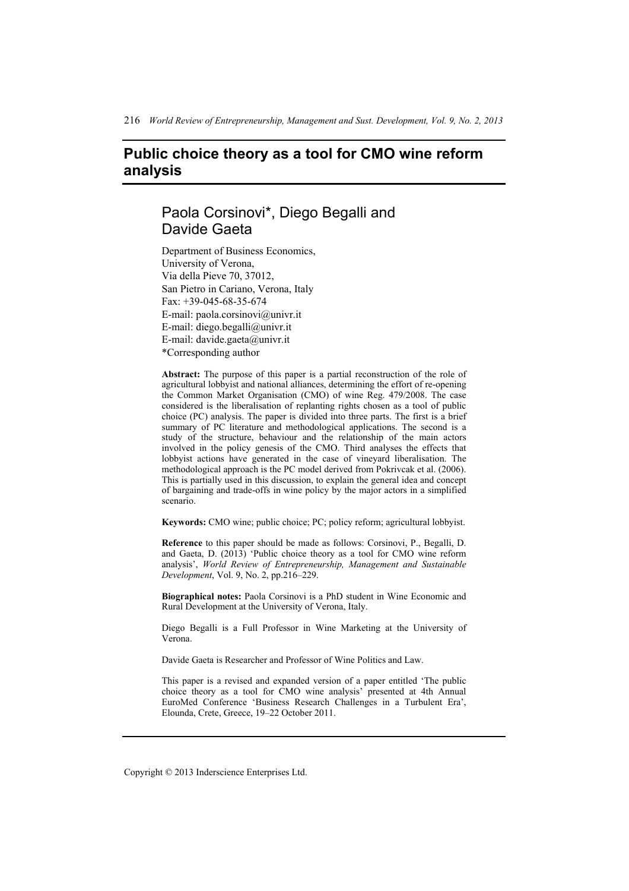# **Public choice theory as a tool for CMO wine reform analysis**

# Paola Corsinovi\*, Diego Begalli and Davide Gaeta

Department of Business Economics, University of Verona, Via della Pieve 70, 37012, San Pietro in Cariano, Verona, Italy Fax: +39-045-68-35-674 E-mail: paola.corsinovi@univr.it E-mail: diego.begalli@univr.it E-mail: davide.gaeta@univr.it \*Corresponding author

**Abstract:** The purpose of this paper is a partial reconstruction of the role of agricultural lobbyist and national alliances, determining the effort of re-opening the Common Market Organisation (CMO) of wine Reg. 479/2008. The case considered is the liberalisation of replanting rights chosen as a tool of public choice (PC) analysis. The paper is divided into three parts. The first is a brief summary of PC literature and methodological applications. The second is a study of the structure, behaviour and the relationship of the main actors involved in the policy genesis of the CMO. Third analyses the effects that lobbyist actions have generated in the case of vineyard liberalisation. The methodological approach is the PC model derived from Pokrivcak et al. (2006). This is partially used in this discussion, to explain the general idea and concept of bargaining and trade-offs in wine policy by the major actors in a simplified scenario.

**Keywords:** CMO wine; public choice; PC; policy reform; agricultural lobbyist.

**Reference** to this paper should be made as follows: Corsinovi, P., Begalli, D. and Gaeta, D. (2013) 'Public choice theory as a tool for CMO wine reform analysis', *World Review of Entrepreneurship, Management and Sustainable Development*, Vol. 9, No. 2, pp.216–229.

**Biographical notes:** Paola Corsinovi is a PhD student in Wine Economic and Rural Development at the University of Verona, Italy.

Diego Begalli is a Full Professor in Wine Marketing at the University of Verona.

Davide Gaeta is Researcher and Professor of Wine Politics and Law.

This paper is a revised and expanded version of a paper entitled 'The public choice theory as a tool for CMO wine analysis' presented at 4th Annual EuroMed Conference 'Business Research Challenges in a Turbulent Era', Elounda, Crete, Greece, 19–22 October 2011.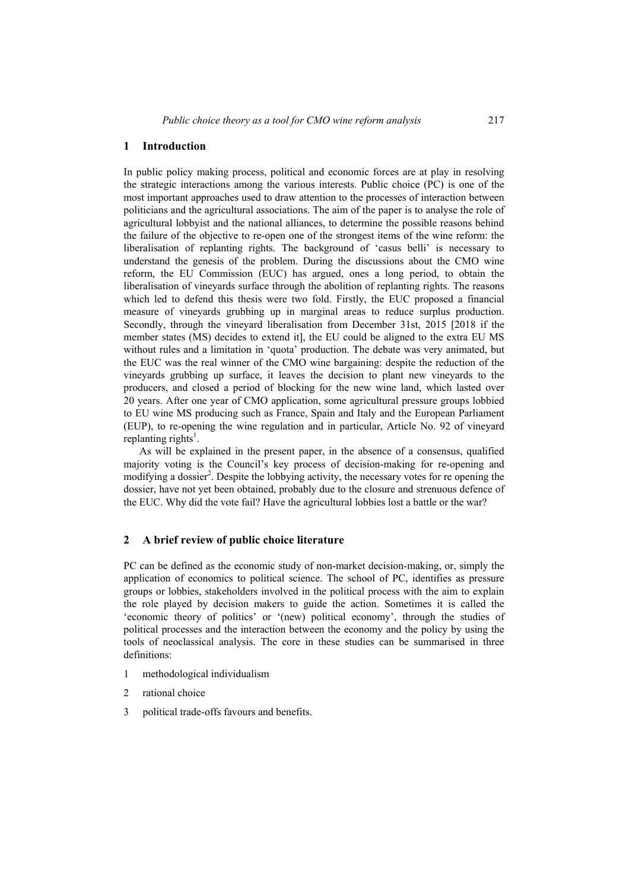#### **1 Introduction**

In public policy making process, political and economic forces are at play in resolving the strategic interactions among the various interests. Public choice (PC) is one of the most important approaches used to draw attention to the processes of interaction between politicians and the agricultural associations. The aim of the paper is to analyse the role of agricultural lobbyist and the national alliances, to determine the possible reasons behind the failure of the objective to re-open one of the strongest items of the wine reform: the liberalisation of replanting rights. The background of 'casus belli' is necessary to understand the genesis of the problem. During the discussions about the CMO wine reform, the EU Commission (EUC) has argued, ones a long period, to obtain the liberalisation of vineyards surface through the abolition of replanting rights. The reasons which led to defend this thesis were two fold. Firstly, the EUC proposed a financial measure of vineyards grubbing up in marginal areas to reduce surplus production. Secondly, through the vineyard liberalisation from December 31st, 2015 [2018 if the member states (MS) decides to extend it], the EU could be aligned to the extra EU MS without rules and a limitation in 'quota' production. The debate was very animated, but the EUC was the real winner of the CMO wine bargaining: despite the reduction of the vineyards grubbing up surface, it leaves the decision to plant new vineyards to the producers, and closed a period of blocking for the new wine land, which lasted over 20 years. After one year of CMO application, some agricultural pressure groups lobbied to EU wine MS producing such as France, Spain and Italy and the European Parliament (EUP), to re-opening the wine regulation and in particular, Article No. 92 of vineyard replanting rights<sup>1</sup>.

As will be explained in the present paper, in the absence of a consensus, qualified majority voting is the Council's key process of decision-making for re-opening and modifying a dossier<sup>2</sup>. Despite the lobbying activity, the necessary votes for re opening the dossier, have not yet been obtained, probably due to the closure and strenuous defence of the EUC. Why did the vote fail? Have the agricultural lobbies lost a battle or the war?

#### **2 A brief review of public choice literature**

PC can be defined as the economic study of non-market decision-making, or, simply the application of economics to political science. The school of PC, identifies as pressure groups or lobbies, stakeholders involved in the political process with the aim to explain the role played by decision makers to guide the action. Sometimes it is called the 'economic theory of politics' or '(new) political economy', through the studies of political processes and the interaction between the economy and the policy by using the tools of neoclassical analysis. The core in these studies can be summarised in three definitions:

- 1 methodological individualism
- 2 rational choice
- 3 political trade-offs favours and benefits.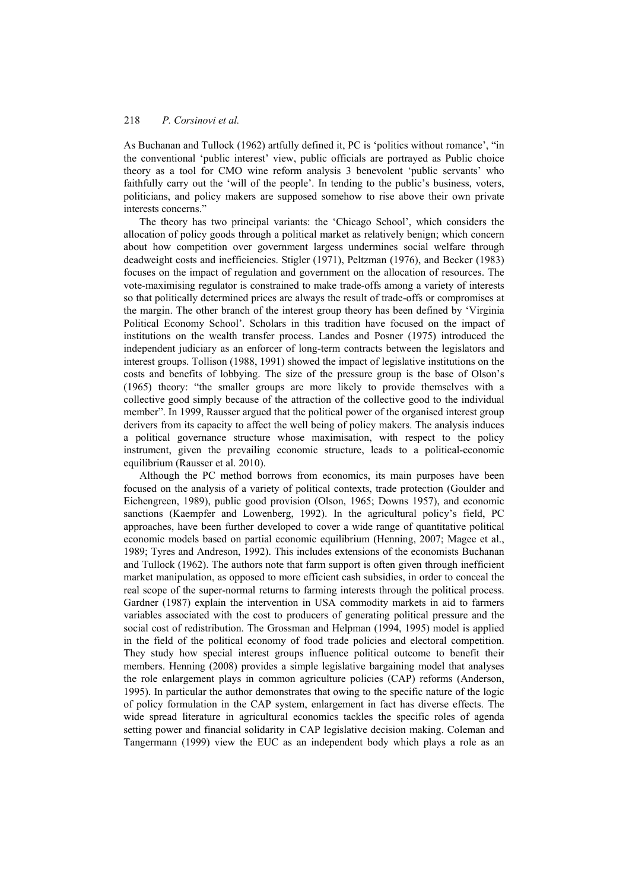As Buchanan and Tullock (1962) artfully defined it, PC is 'politics without romance', "in the conventional 'public interest' view, public officials are portrayed as Public choice theory as a tool for CMO wine reform analysis 3 benevolent 'public servants' who faithfully carry out the 'will of the people'. In tending to the public's business, voters, politicians, and policy makers are supposed somehow to rise above their own private interests concerns."

The theory has two principal variants: the 'Chicago School', which considers the allocation of policy goods through a political market as relatively benign; which concern about how competition over government largess undermines social welfare through deadweight costs and inefficiencies. Stigler (1971), Peltzman (1976), and Becker (1983) focuses on the impact of regulation and government on the allocation of resources. The vote-maximising regulator is constrained to make trade-offs among a variety of interests so that politically determined prices are always the result of trade-offs or compromises at the margin. The other branch of the interest group theory has been defined by 'Virginia Political Economy School'. Scholars in this tradition have focused on the impact of institutions on the wealth transfer process. Landes and Posner (1975) introduced the independent judiciary as an enforcer of long-term contracts between the legislators and interest groups. Tollison (1988, 1991) showed the impact of legislative institutions on the costs and benefits of lobbying. The size of the pressure group is the base of Olson's (1965) theory: "the smaller groups are more likely to provide themselves with a collective good simply because of the attraction of the collective good to the individual member". In 1999, Rausser argued that the political power of the organised interest group derivers from its capacity to affect the well being of policy makers. The analysis induces a political governance structure whose maximisation, with respect to the policy instrument, given the prevailing economic structure, leads to a political-economic equilibrium (Rausser et al. 2010).

Although the PC method borrows from economics, its main purposes have been focused on the analysis of a variety of political contexts, trade protection (Goulder and Eichengreen, 1989), public good provision (Olson, 1965; Downs 1957), and economic sanctions (Kaempfer and Lowenberg, 1992). In the agricultural policy's field, PC approaches, have been further developed to cover a wide range of quantitative political economic models based on partial economic equilibrium (Henning, 2007; Magee et al., 1989; Tyres and Andreson, 1992). This includes extensions of the economists Buchanan and Tullock (1962). The authors note that farm support is often given through inefficient market manipulation, as opposed to more efficient cash subsidies, in order to conceal the real scope of the super-normal returns to farming interests through the political process. Gardner (1987) explain the intervention in USA commodity markets in aid to farmers variables associated with the cost to producers of generating political pressure and the social cost of redistribution. The Grossman and Helpman (1994, 1995) model is applied in the field of the political economy of food trade policies and electoral competition. They study how special interest groups influence political outcome to benefit their members. Henning (2008) provides a simple legislative bargaining model that analyses the role enlargement plays in common agriculture policies (CAP) reforms (Anderson, 1995). In particular the author demonstrates that owing to the specific nature of the logic of policy formulation in the CAP system, enlargement in fact has diverse effects. The wide spread literature in agricultural economics tackles the specific roles of agenda setting power and financial solidarity in CAP legislative decision making. Coleman and Tangermann (1999) view the EUC as an independent body which plays a role as an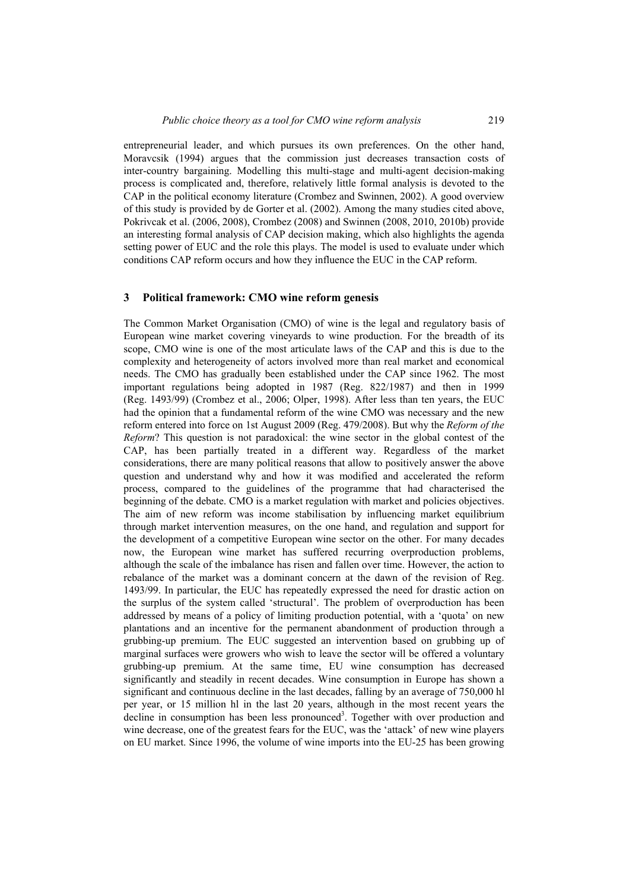entrepreneurial leader, and which pursues its own preferences. On the other hand, Moravcsik (1994) argues that the commission just decreases transaction costs of inter-country bargaining. Modelling this multi-stage and multi-agent decision-making process is complicated and, therefore, relatively little formal analysis is devoted to the CAP in the political economy literature (Crombez and Swinnen, 2002). A good overview of this study is provided by de Gorter et al. (2002). Among the many studies cited above, Pokrivcak et al. (2006, 2008), Crombez (2008) and Swinnen (2008, 2010, 2010b) provide an interesting formal analysis of CAP decision making, which also highlights the agenda setting power of EUC and the role this plays. The model is used to evaluate under which conditions CAP reform occurs and how they influence the EUC in the CAP reform.

#### **3 Political framework: CMO wine reform genesis**

The Common Market Organisation (CMO) of wine is the legal and regulatory basis of European wine market covering vineyards to wine production. For the breadth of its scope, CMO wine is one of the most articulate laws of the CAP and this is due to the complexity and heterogeneity of actors involved more than real market and economical needs. The CMO has gradually been established under the CAP since 1962. The most important regulations being adopted in 1987 (Reg. 822/1987) and then in 1999 (Reg. 1493/99) (Crombez et al., 2006; Olper, 1998). After less than ten years, the EUC had the opinion that a fundamental reform of the wine CMO was necessary and the new reform entered into force on 1st August 2009 (Reg. 479/2008). But why the *Reform of the Reform*? This question is not paradoxical: the wine sector in the global contest of the CAP, has been partially treated in a different way. Regardless of the market considerations, there are many political reasons that allow to positively answer the above question and understand why and how it was modified and accelerated the reform process, compared to the guidelines of the programme that had characterised the beginning of the debate. CMO is a market regulation with market and policies objectives. The aim of new reform was income stabilisation by influencing market equilibrium through market intervention measures, on the one hand, and regulation and support for the development of a competitive European wine sector on the other. For many decades now, the European wine market has suffered recurring overproduction problems, although the scale of the imbalance has risen and fallen over time. However, the action to rebalance of the market was a dominant concern at the dawn of the revision of Reg. 1493/99. In particular, the EUC has repeatedly expressed the need for drastic action on the surplus of the system called 'structural'. The problem of overproduction has been addressed by means of a policy of limiting production potential, with a 'quota' on new plantations and an incentive for the permanent abandonment of production through a grubbing-up premium. The EUC suggested an intervention based on grubbing up of marginal surfaces were growers who wish to leave the sector will be offered a voluntary grubbing-up premium. At the same time, EU wine consumption has decreased significantly and steadily in recent decades. Wine consumption in Europe has shown a significant and continuous decline in the last decades, falling by an average of 750,000 hl per year, or 15 million hl in the last 20 years, although in the most recent years the  $\alpha$  decline in consumption has been less pronounced<sup>3</sup>. Together with over production and wine decrease, one of the greatest fears for the EUC, was the 'attack' of new wine players on EU market. Since 1996, the volume of wine imports into the EU-25 has been growing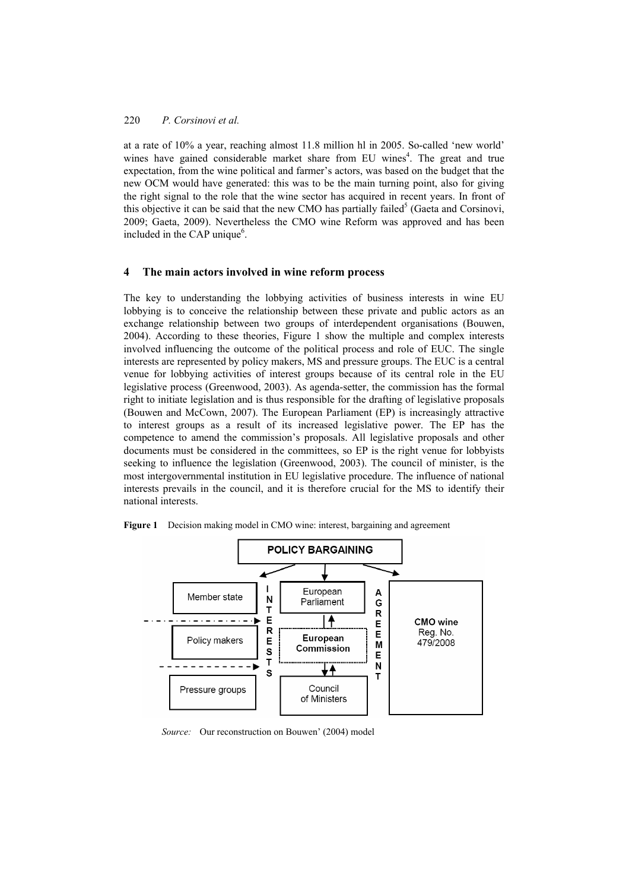at a rate of 10% a year, reaching almost 11.8 million hl in 2005. So-called 'new world' wines have gained considerable market share from EU wines<sup>4</sup>. The great and true expectation, from the wine political and farmer's actors, was based on the budget that the new OCM would have generated: this was to be the main turning point, also for giving the right signal to the role that the wine sector has acquired in recent years. In front of this objective it can be said that the new CMO has partially failed<sup>5</sup> (Gaeta and Corsinovi, 2009; Gaeta, 2009). Nevertheless the CMO wine Reform was approved and has been included in the CAP unique<sup>6</sup>.

#### **4 The main actors involved in wine reform process**

The key to understanding the lobbying activities of business interests in wine EU lobbying is to conceive the relationship between these private and public actors as an exchange relationship between two groups of interdependent organisations (Bouwen, 2004). According to these theories, Figure 1 show the multiple and complex interests involved influencing the outcome of the political process and role of EUC. The single interests are represented by policy makers, MS and pressure groups. The EUC is a central venue for lobbying activities of interest groups because of its central role in the EU legislative process (Greenwood, 2003). As agenda-setter, the commission has the formal right to initiate legislation and is thus responsible for the drafting of legislative proposals (Bouwen and McCown, 2007). The European Parliament (EP) is increasingly attractive to interest groups as a result of its increased legislative power. The EP has the competence to amend the commission's proposals. All legislative proposals and other documents must be considered in the committees, so EP is the right venue for lobbyists seeking to influence the legislation (Greenwood, 2003). The council of minister, is the most intergovernmental institution in EU legislative procedure. The influence of national interests prevails in the council, and it is therefore crucial for the MS to identify their national interests.





*Source:* Our reconstruction on Bouwen' (2004) model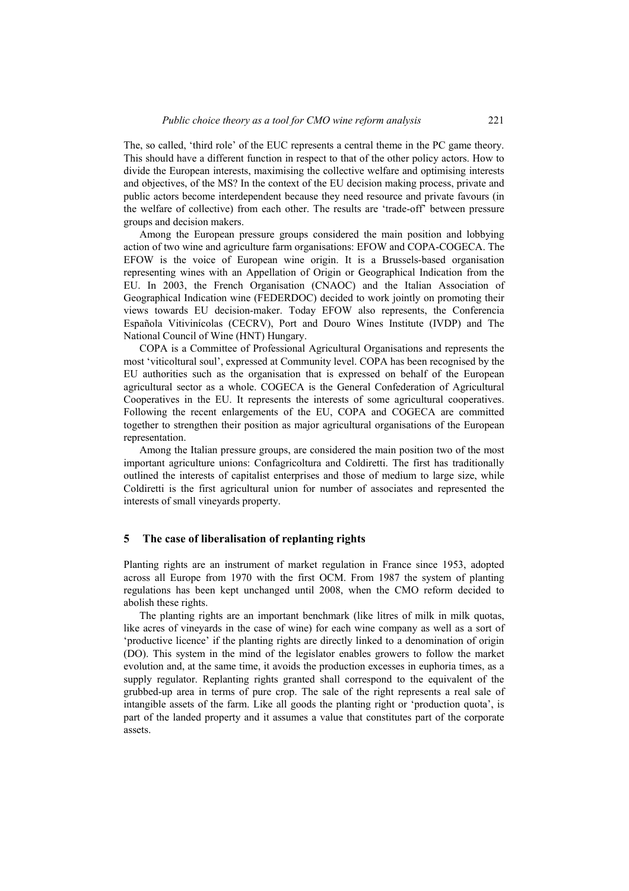The, so called, 'third role' of the EUC represents a central theme in the PC game theory. This should have a different function in respect to that of the other policy actors. How to divide the European interests, maximising the collective welfare and optimising interests and objectives, of the MS? In the context of the EU decision making process, private and public actors become interdependent because they need resource and private favours (in the welfare of collective) from each other. The results are 'trade-off' between pressure groups and decision makers.

Among the European pressure groups considered the main position and lobbying action of two wine and agriculture farm organisations: EFOW and COPA-COGECA. The EFOW is the voice of European wine origin. It is a Brussels-based organisation representing wines with an Appellation of Origin or Geographical Indication from the EU. In 2003, the French Organisation (CNAOC) and the Italian Association of Geographical Indication wine (FEDERDOC) decided to work jointly on promoting their views towards EU decision-maker. Today EFOW also represents, the Conferencia Española Vitivinícolas (CECRV), Port and Douro Wines Institute (IVDP) and The National Council of Wine (HNT) Hungary.

COPA is a Committee of Professional Agricultural Organisations and represents the most 'viticoltural soul', expressed at Community level. COPA has been recognised by the EU authorities such as the organisation that is expressed on behalf of the European agricultural sector as a whole. COGECA is the General Confederation of Agricultural Cooperatives in the EU. It represents the interests of some agricultural cooperatives. Following the recent enlargements of the EU, COPA and COGECA are committed together to strengthen their position as major agricultural organisations of the European representation.

Among the Italian pressure groups, are considered the main position two of the most important agriculture unions: Confagricoltura and Coldiretti. The first has traditionally outlined the interests of capitalist enterprises and those of medium to large size, while Coldiretti is the first agricultural union for number of associates and represented the interests of small vineyards property.

# **5 The case of liberalisation of replanting rights**

Planting rights are an instrument of market regulation in France since 1953, adopted across all Europe from 1970 with the first OCM. From 1987 the system of planting regulations has been kept unchanged until 2008, when the CMO reform decided to abolish these rights.

The planting rights are an important benchmark (like litres of milk in milk quotas, like acres of vineyards in the case of wine) for each wine company as well as a sort of 'productive licence' if the planting rights are directly linked to a denomination of origin (DO). This system in the mind of the legislator enables growers to follow the market evolution and, at the same time, it avoids the production excesses in euphoria times, as a supply regulator. Replanting rights granted shall correspond to the equivalent of the grubbed-up area in terms of pure crop. The sale of the right represents a real sale of intangible assets of the farm. Like all goods the planting right or 'production quota', is part of the landed property and it assumes a value that constitutes part of the corporate assets.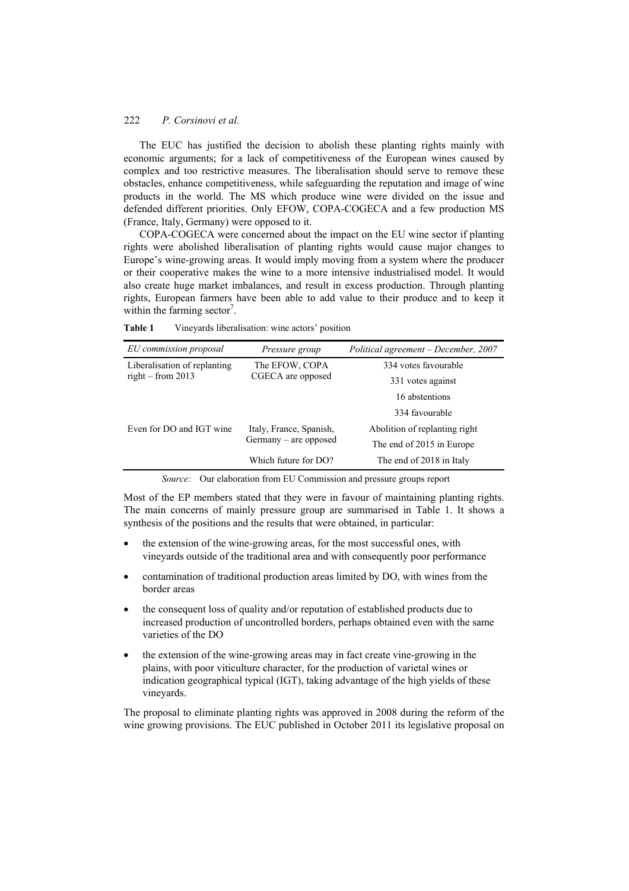The EUC has justified the decision to abolish these planting rights mainly with economic arguments; for a lack of competitiveness of the European wines caused by complex and too restrictive measures. The liberalisation should serve to remove these obstacles, enhance competitiveness, while safeguarding the reputation and image of wine products in the world. The MS which produce wine were divided on the issue and defended different priorities. Only EFOW, COPA-COGECA and a few production MS (France, Italy, Germany) were opposed to it.

COPA-COGECA were concerned about the impact on the EU wine sector if planting rights were abolished liberalisation of planting rights would cause major changes to Europe's wine-growing areas. It would imply moving from a system where the producer or their cooperative makes the wine to a more intensive industrialised model. It would also create huge market imbalances, and result in excess production. Through planting rights, European farmers have been able to add value to their produce and to keep it within the farming sector<sup>7</sup>.

**Table 1** Vineyards liberalisation: wine actors' position

| EU commission proposal                              | Pressure group                                     | Political agreement – December, 2007 |
|-----------------------------------------------------|----------------------------------------------------|--------------------------------------|
| Liberalisation of replanting<br>right – from $2013$ | The EFOW, COPA<br>CGECA are opposed                | 334 votes favourable                 |
|                                                     |                                                    | 331 votes against                    |
|                                                     |                                                    | 16 abstentions                       |
|                                                     |                                                    | 334 favourable                       |
| Even for DO and IGT wine                            | Italy, France, Spanish,<br>$Germany - are opposed$ | Abolition of replanting right        |
|                                                     |                                                    | The end of 2015 in Europe            |
|                                                     | Which future for DO?                               | The end of 2018 in Italy             |

*Source:* Our elaboration from EU Commission and pressure groups report

Most of the EP members stated that they were in favour of maintaining planting rights. The main concerns of mainly pressure group are summarised in Table 1. It shows a synthesis of the positions and the results that were obtained, in particular:

- the extension of the wine-growing areas, for the most successful ones, with vineyards outside of the traditional area and with consequently poor performance
- contamination of traditional production areas limited by DO, with wines from the border areas
- the consequent loss of quality and/or reputation of established products due to increased production of uncontrolled borders, perhaps obtained even with the same varieties of the DO
- the extension of the wine-growing areas may in fact create vine-growing in the plains, with poor viticulture character, for the production of varietal wines or indication geographical typical (IGT), taking advantage of the high yields of these vineyards.

The proposal to eliminate planting rights was approved in 2008 during the reform of the wine growing provisions. The EUC published in October 2011 its legislative proposal on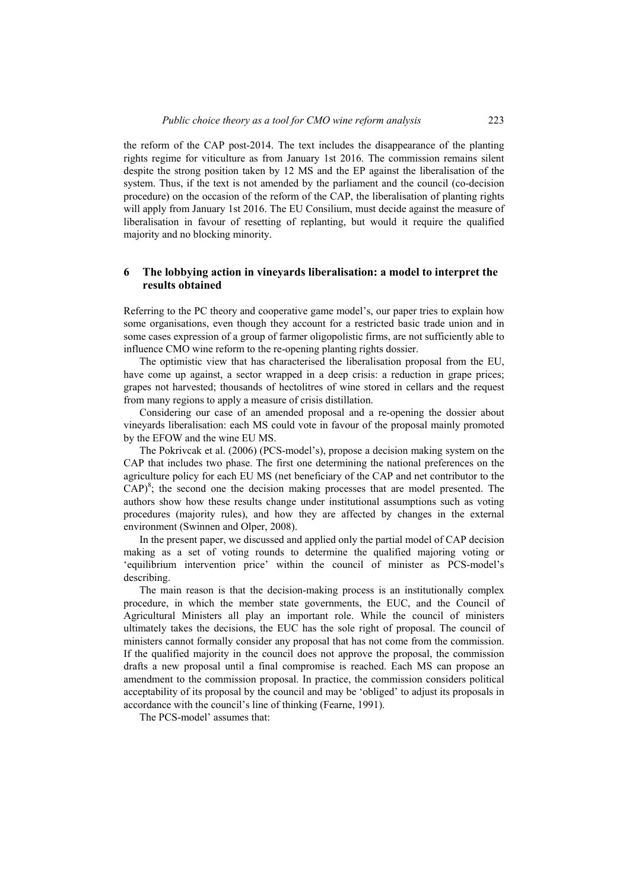the reform of the CAP post-2014. The text includes the disappearance of the planting rights regime for viticulture as from January 1st 2016. The commission remains silent despite the strong position taken by 12 MS and the EP against the liberalisation of the system. Thus, if the text is not amended by the parliament and the council (co-decision procedure) on the occasion of the reform of the CAP, the liberalisation of planting rights will apply from January 1st 2016. The EU Consilium, must decide against the measure of liberalisation in favour of resetting of replanting, but would it require the qualified majority and no blocking minority.

# **6 The lobbying action in vineyards liberalisation: a model to interpret the results obtained**

Referring to the PC theory and cooperative game model's, our paper tries to explain how some organisations, even though they account for a restricted basic trade union and in some cases expression of a group of farmer oligopolistic firms, are not sufficiently able to influence CMO wine reform to the re-opening planting rights dossier.

The optimistic view that has characterised the liberalisation proposal from the EU, have come up against, a sector wrapped in a deep crisis: a reduction in grape prices; grapes not harvested; thousands of hectolitres of wine stored in cellars and the request from many regions to apply a measure of crisis distillation.

Considering our case of an amended proposal and a re-opening the dossier about vineyards liberalisation: each MS could vote in favour of the proposal mainly promoted by the EFOW and the wine EU MS.

The Pokrivcak et al. (2006) (PCS-model's), propose a decision making system on the CAP that includes two phase. The first one determining the national preferences on the agriculture policy for each EU MS (net beneficiary of the CAP and net contributor to the  $CAP)^8$ ; the second one the decision making processes that are model presented. The authors show how these results change under institutional assumptions such as voting procedures (majority rules), and how they are affected by changes in the external environment (Swinnen and Olper, 2008).

In the present paper, we discussed and applied only the partial model of CAP decision making as a set of voting rounds to determine the qualified majoring voting or 'equilibrium intervention price' within the council of minister as PCS-model's describing.

The main reason is that the decision-making process is an institutionally complex procedure, in which the member state governments, the EUC, and the Council of Agricultural Ministers all play an important role. While the council of ministers ultimately takes the decisions, the EUC has the sole right of proposal. The council of ministers cannot formally consider any proposal that has not come from the commission. If the qualified majority in the council does not approve the proposal, the commission drafts a new proposal until a final compromise is reached. Each MS can propose an amendment to the commission proposal. In practice, the commission considers political acceptability of its proposal by the council and may be 'obliged' to adjust its proposals in accordance with the council's line of thinking (Fearne, 1991).

The PCS-model' assumes that: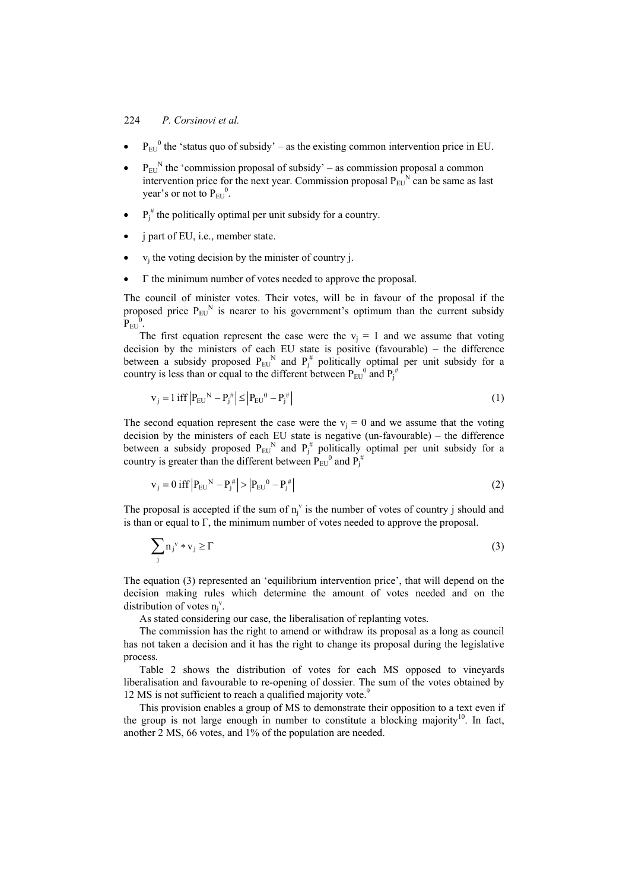- $P_{EU}^0$  the 'status quo of subsidy' as the existing common intervention price in EU.
- $P_{EU}^N$  the 'commission proposal of subsidy' as commission proposal a common intervention price for the next year. Commission proposal  $P_{\text{EII}}^N$  can be same as last year's or not to  $P_{EU}^0$ .
- $P_j^{\#}$  the politically optimal per unit subsidy for a country.
- j part of EU, i.e., member state.
- $v_i$  the voting decision by the minister of country j.
- Γ the minimum number of votes needed to approve the proposal.

The council of minister votes. Their votes, will be in favour of the proposal if the proposed price  $P_{\text{EU}}^N$  is nearer to his government's optimum than the current subsidy  $P_{\rm EU}^{\quad 0}.$ 

The first equation represent the case were the  $v_i = 1$  and we assume that voting decision by the ministers of each EU state is positive (favourable) – the difference between a subsidy proposed  $P_{EU}^N$  and  $P_i^{\#}$  politically optimal per unit subsidy for a country is less than or equal to the different between  $P_{EU}^0$  and  $P_j^{\#}$ 

$$
v_j = 1 \text{ iff } \left| P_{EU}^N - P_j^{\#} \right| \le \left| P_{EU}^0 - P_j^{\#} \right| \tag{1}
$$

The second equation represent the case were the  $v_i = 0$  and we assume that the voting decision by the ministers of each EU state is negative (un-favourable) – the difference between a subsidy proposed  $P_{EU}^N$  and  $P_i^{\#}$  politically optimal per unit subsidy for a country is greater than the different between  $P_{EU}^0$  and  $P_j^{\#}$ 

$$
v_j = 0 \text{ iff } |P_{EU}^N - P_j^{\#}| > |P_{EU}^0 - P_j^{\#}| \tag{2}
$$

The proposal is accepted if the sum of  $n_j^v$  is the number of votes of country j should and is than or equal to  $\Gamma$ , the minimum number of votes needed to approve the proposal.

$$
\sum_{j} n_{j}^{v} * v_{j} \ge \Gamma
$$
 (3)

The equation (3) represented an 'equilibrium intervention price', that will depend on the decision making rules which determine the amount of votes needed and on the distribution of votes  $n_j^v$ .

As stated considering our case, the liberalisation of replanting votes.

The commission has the right to amend or withdraw its proposal as a long as council has not taken a decision and it has the right to change its proposal during the legislative process.

Table 2 shows the distribution of votes for each MS opposed to vineyards liberalisation and favourable to re-opening of dossier. The sum of the votes obtained by 12 MS is not sufficient to reach a qualified majority vote.<sup>9</sup>

This provision enables a group of MS to demonstrate their opposition to a text even if the group is not large enough in number to constitute a blocking majority<sup>10</sup>. In fact, another 2 MS, 66 votes, and 1% of the population are needed.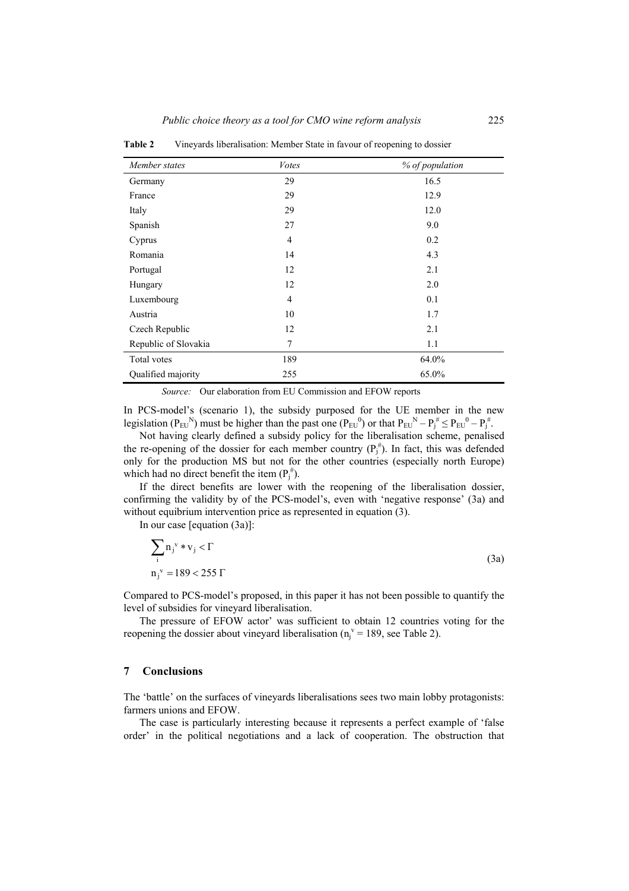| Member states        | <b>V</b> otes  | % of population |
|----------------------|----------------|-----------------|
| Germany              | 29             | 16.5            |
| France               | 29             | 12.9            |
| Italy                | 29             | 12.0            |
| Spanish              | 27             | 9.0             |
| Cyprus               | $\overline{4}$ | 0.2             |
| Romania              | 14             | 4.3             |
| Portugal             | 12             | 2.1             |
| Hungary              | 12             | 2.0             |
| Luxembourg           | $\overline{4}$ | 0.1             |
| Austria              | 10             | 1.7             |
| Czech Republic       | 12             | 2.1             |
| Republic of Slovakia | 7              | 1.1             |
| Total votes          | 189            | 64.0%           |
| Qualified majority   | 255            | 65.0%           |

**Table 2** Vineyards liberalisation: Member State in favour of reopening to dossier

*Source:* Our elaboration from EU Commission and EFOW reports

In PCS-model's (scenario 1), the subsidy purposed for the UE member in the new legislation ( $P_{EU}^{N}$ ) must be higher than the past one ( $P_{EU}^{0}$ ) or that  $P_{EU}^{N} - P_{I}^{*} \le P_{EU}^{0} - P_{I}^{*}$ .

Not having clearly defined a subsidy policy for the liberalisation scheme, penalised the re-opening of the dossier for each member country  $(P_i^{\#})$ . In fact, this was defended only for the production MS but not for the other countries (especially north Europe) which had no direct benefit the item  $(P_i^{\#})$ .

If the direct benefits are lower with the reopening of the liberalisation dossier, confirming the validity by of the PCS-model's, even with 'negative response' (3a) and without equibrium intervention price as represented in equation (3).

In our case [equation (3a)]:

$$
\sum_{i} n_{j}^{v} * v_{j} < \Gamma
$$
  
\n
$$
n_{j}^{v} = 189 < 255 \Gamma
$$
 (3a)

Compared to PCS-model's proposed, in this paper it has not been possible to quantify the level of subsidies for vineyard liberalisation.

The pressure of EFOW actor' was sufficient to obtain 12 countries voting for the reopening the dossier about vineyard liberalisation ( $n_j^{\nu}$  = 189, see Table 2).

#### **7 Conclusions**

The 'battle' on the surfaces of vineyards liberalisations sees two main lobby protagonists: farmers unions and EFOW.

The case is particularly interesting because it represents a perfect example of 'false order' in the political negotiations and a lack of cooperation. The obstruction that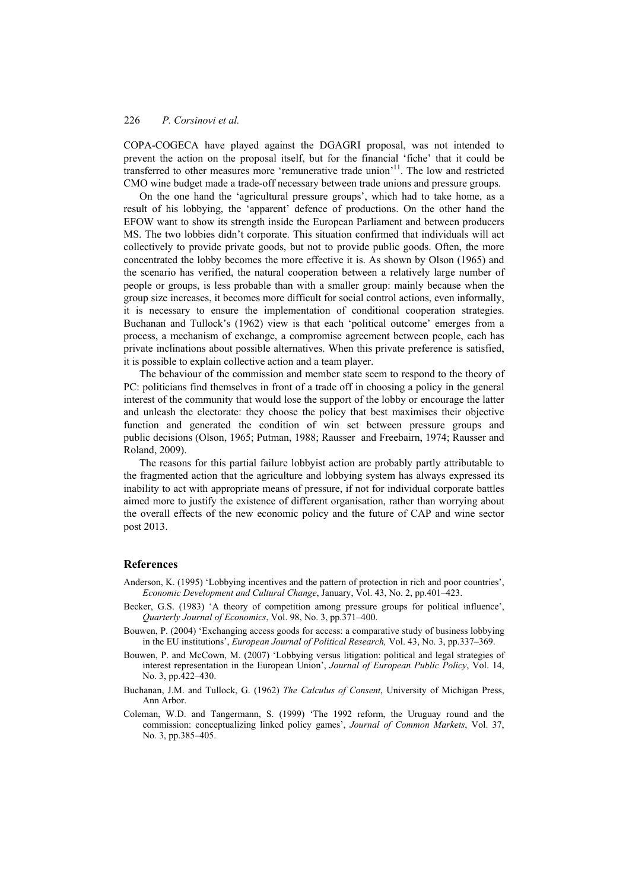COPA-COGECA have played against the DGAGRI proposal, was not intended to prevent the action on the proposal itself, but for the financial 'fiche' that it could be transferred to other measures more 'remunerative trade union'11. The low and restricted CMO wine budget made a trade-off necessary between trade unions and pressure groups.

On the one hand the 'agricultural pressure groups', which had to take home, as a result of his lobbying, the 'apparent' defence of productions. On the other hand the EFOW want to show its strength inside the European Parliament and between producers MS. The two lobbies didn't corporate. This situation confirmed that individuals will act collectively to provide private goods, but not to provide public goods. Often, the more concentrated the lobby becomes the more effective it is. As shown by Olson (1965) and the scenario has verified, the natural cooperation between a relatively large number of people or groups, is less probable than with a smaller group: mainly because when the group size increases, it becomes more difficult for social control actions, even informally, it is necessary to ensure the implementation of conditional cooperation strategies. Buchanan and Tullock's (1962) view is that each 'political outcome' emerges from a process, a mechanism of exchange, a compromise agreement between people, each has private inclinations about possible alternatives. When this private preference is satisfied, it is possible to explain collective action and a team player.

The behaviour of the commission and member state seem to respond to the theory of PC: politicians find themselves in front of a trade off in choosing a policy in the general interest of the community that would lose the support of the lobby or encourage the latter and unleash the electorate: they choose the policy that best maximises their objective function and generated the condition of win set between pressure groups and public decisions (Olson, 1965; Putman, 1988; Rausser and Freebairn, 1974; Rausser and Roland, 2009).

The reasons for this partial failure lobbyist action are probably partly attributable to the fragmented action that the agriculture and lobbying system has always expressed its inability to act with appropriate means of pressure, if not for individual corporate battles aimed more to justify the existence of different organisation, rather than worrying about the overall effects of the new economic policy and the future of CAP and wine sector post 2013.

#### **References**

Anderson, K. (1995) 'Lobbying incentives and the pattern of protection in rich and poor countries', *Economic Development and Cultural Change*, January, Vol. 43, No. 2, pp.401–423.

- Becker, G.S. (1983) 'A theory of competition among pressure groups for political influence', *Quarterly Journal of Economics*, Vol. 98, No. 3, pp.371–400.
- Bouwen, P. (2004) 'Exchanging access goods for access: a comparative study of business lobbying in the EU institutions', *European Journal of Political Research,* Vol. 43, No. 3, pp.337–369.
- Bouwen, P. and McCown, M. (2007) 'Lobbying versus litigation: political and legal strategies of interest representation in the European Union', *Journal of European Public Policy*, Vol. 14, No. 3, pp.422–430.
- Buchanan, J.M. and Tullock, G. (1962) *The Calculus of Consent*, University of Michigan Press, Ann Arbor.
- Coleman, W.D. and Tangermann, S. (1999) 'The 1992 reform, the Uruguay round and the commission: conceptualizing linked policy games', *Journal of Common Markets*, Vol. 37, No. 3, pp.385–405.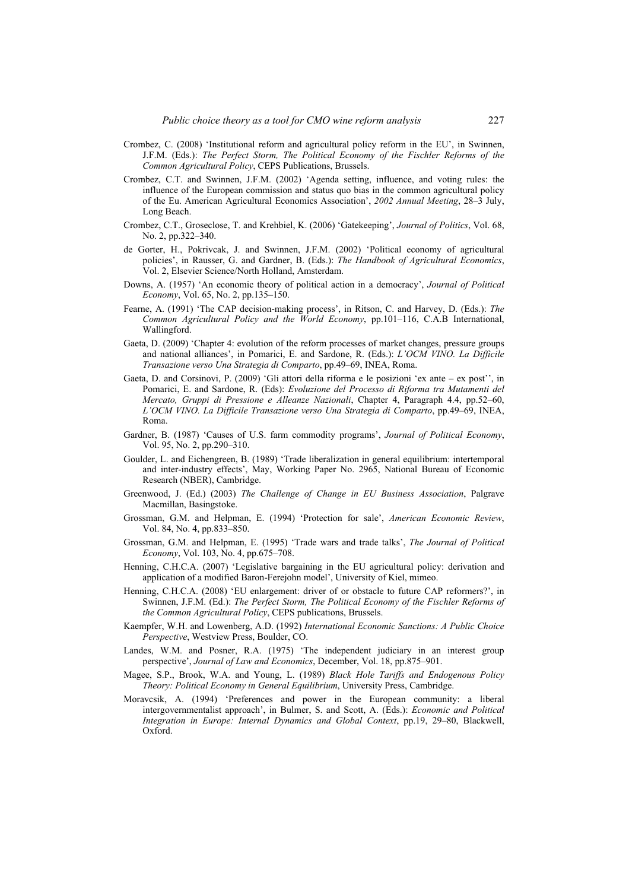- Crombez, C. (2008) 'Institutional reform and agricultural policy reform in the EU', in Swinnen, J.F.M. (Eds.): *The Perfect Storm, The Political Economy of the Fischler Reforms of the Common Agricultural Policy*, CEPS Publications, Brussels.
- Crombez, C.T. and Swinnen, J.F.M. (2002) 'Agenda setting, influence, and voting rules: the influence of the European commission and status quo bias in the common agricultural policy of the Eu. American Agricultural Economics Association', *2002 Annual Meeting*, 28–3 July, Long Beach.
- Crombez, C.T., Groseclose, T. and Krehbiel, K. (2006) 'Gatekeeping', *Journal of Politics*, Vol. 68, No. 2, pp.322–340.
- de Gorter, H., Pokrivcak, J. and Swinnen, J.F.M. (2002) 'Political economy of agricultural policies', in Rausser, G. and Gardner, B. (Eds.): *The Handbook of Agricultural Economics*, Vol. 2, Elsevier Science/North Holland, Amsterdam.
- Downs, A. (1957) 'An economic theory of political action in a democracy', *Journal of Political Economy*, Vol. 65, No. 2, pp.135–150.
- Fearne, A. (1991) 'The CAP decision-making process', in Ritson, C. and Harvey, D. (Eds.): *The Common Agricultural Policy and the World Economy*, pp.101–116, C.A.B International, Wallingford.
- Gaeta, D. (2009) 'Chapter 4: evolution of the reform processes of market changes, pressure groups and national alliances', in Pomarici, E. and Sardone, R. (Eds.): *L'OCM VINO. La Difficile Transazione verso Una Strategia di Comparto*, pp.49–69, INEA, Roma.
- Gaeta, D. and Corsinovi, P. (2009) 'Gli attori della riforma e le posizioni 'ex ante ex post'', in Pomarici, E. and Sardone, R. (Eds): *Evoluzione del Processo di Riforma tra Mutamenti del Mercato, Gruppi di Pressione e Alleanze Nazionali*, Chapter 4, Paragraph 4.4, pp.52–60, *L'OCM VINO. La Difficile Transazione verso Una Strategia di Comparto*, pp.49–69, INEA, Roma.
- Gardner, B. (1987) 'Causes of U.S. farm commodity programs', *Journal of Political Economy*, Vol. 95, No. 2, pp.290–310.
- Goulder, L. and Eichengreen, B. (1989) 'Trade liberalization in general equilibrium: intertemporal and inter-industry effects', May, Working Paper No. 2965, National Bureau of Economic Research (NBER), Cambridge.
- Greenwood, J. (Ed.) (2003) *The Challenge of Change in EU Business Association*, Palgrave Macmillan, Basingstoke.
- Grossman, G.M. and Helpman, E. (1994) 'Protection for sale', *American Economic Review*, Vol. 84, No. 4, pp.833–850.
- Grossman, G.M. and Helpman, E. (1995) 'Trade wars and trade talks', *The Journal of Political Economy*, Vol. 103, No. 4, pp.675–708.
- Henning, C.H.C.A. (2007) 'Legislative bargaining in the EU agricultural policy: derivation and application of a modified Baron-Ferejohn model', University of Kiel, mimeo.
- Henning, C.H.C.A. (2008) 'EU enlargement: driver of or obstacle to future CAP reformers?', in Swinnen, J.F.M. (Ed.): *The Perfect Storm, The Political Economy of the Fischler Reforms of the Common Agricultural Policy*, CEPS publications, Brussels.
- Kaempfer, W.H. and Lowenberg, A.D. (1992) *International Economic Sanctions: A Public Choice Perspective*, Westview Press, Boulder, CO.
- Landes, W.M. and Posner, R.A. (1975) 'The independent judiciary in an interest group perspective', *Journal of Law and Economics*, December, Vol. 18, pp.875–901.
- Magee, S.P., Brook, W.A. and Young, L. (1989) *Black Hole Tariffs and Endogenous Policy Theory: Political Economy in General Equilibrium*, University Press, Cambridge.
- Moravcsik, A. (1994) 'Preferences and power in the European community: a liberal intergovernmentalist approach', in Bulmer, S. and Scott, A. (Eds.): *Economic and Political Integration in Europe: Internal Dynamics and Global Context*, pp.19, 29–80, Blackwell, Oxford.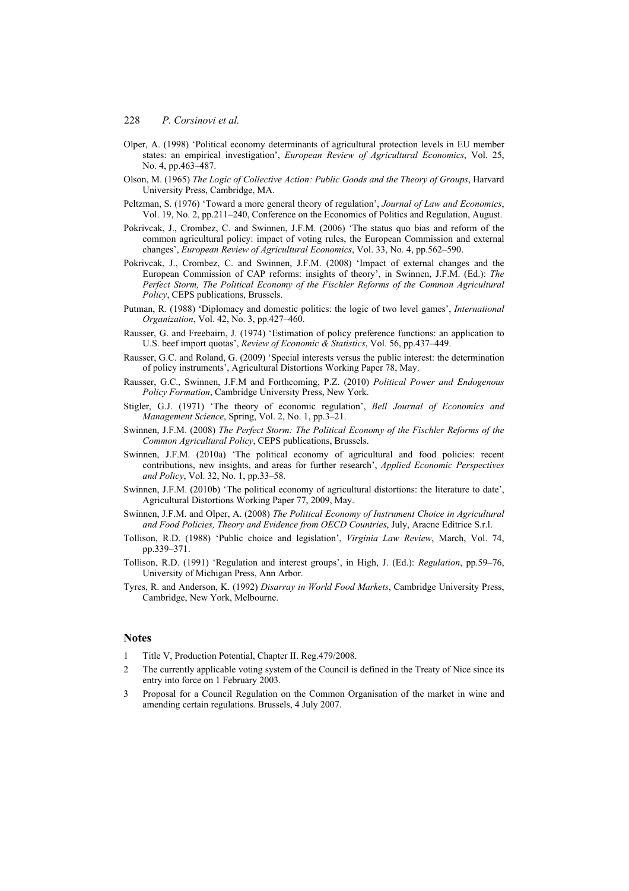- Olper, A. (1998) 'Political economy determinants of agricultural protection levels in EU member states: an empirical investigation', *European Review of Agricultural Economics*, Vol. 25, No. 4, pp.463–487.
- Olson, M. (1965) *The Logic of Collective Action: Public Goods and the Theory of Groups*, Harvard University Press, Cambridge, MA.
- Peltzman, S. (1976) 'Toward a more general theory of regulation', *Journal of Law and Economics*, Vol. 19, No. 2, pp.211–240, Conference on the Economics of Politics and Regulation, August.
- Pokrivcak, J., Crombez, C. and Swinnen, J.F.M. (2006) 'The status quo bias and reform of the common agricultural policy: impact of voting rules, the European Commission and external changes', *European Review of Agricultural Economics*, Vol. 33, No. 4, pp.562–590.
- Pokrivcak, J., Crombez, C. and Swinnen, J.F.M. (2008) 'Impact of external changes and the European Commission of CAP reforms: insights of theory', in Swinnen, J.F.M. (Ed.): *The Perfect Storm, The Political Economy of the Fischler Reforms of the Common Agricultural Policy*, CEPS publications, Brussels.
- Putman, R. (1988) 'Diplomacy and domestic politics: the logic of two level games', *International Organization*, Vol. 42, No. 3, pp.427–460.
- Rausser, G. and Freebairn, J. (1974) 'Estimation of policy preference functions: an application to U.S. beef import quotas', *Review of Economic & Statistics*, Vol. 56, pp.437–449.
- Rausser, G.C. and Roland, G. (2009) 'Special interests versus the public interest: the determination of policy instruments', Agricultural Distortions Working Paper 78, May.
- Rausser, G.C., Swinnen, J.F.M and Forthcoming, P.Z. (2010) *Political Power and Endogenous Policy Formation*, Cambridge University Press, New York.
- Stigler, G.J. (1971) 'The theory of economic regulation', *Bell Journal of Economics and Management Science*, Spring, Vol. 2, No. 1, pp.3–21.
- Swinnen, J.F.M. (2008) *The Perfect Storm: The Political Economy of the Fischler Reforms of the Common Agricultural Policy*, CEPS publications, Brussels.
- Swinnen, J.F.M. (2010a) 'The political economy of agricultural and food policies: recent contributions, new insights, and areas for further research', *Applied Economic Perspectives and Policy*, Vol. 32, No. 1, pp.33–58.
- Swinnen, J.F.M. (2010b) 'The political economy of agricultural distortions: the literature to date', Agricultural Distortions Working Paper 77, 2009, May.
- Swinnen, J.F.M. and Olper, A. (2008) *The Political Economy of Instrument Choice in Agricultural and Food Policies, Theory and Evidence from OECD Countries*, July, Aracne Editrice S.r.l.
- Tollison, R.D. (1988) 'Public choice and legislation', *Virginia Law Review*, March, Vol. 74, pp.339–371.
- Tollison, R.D. (1991) 'Regulation and interest groups', in High, J. (Ed.): *Regulation*, pp.59–76, University of Michigan Press, Ann Arbor.
- Tyres, R. and Anderson, K. (1992) *Disarray in World Food Markets*, Cambridge University Press, Cambridge, New York, Melbourne.

#### **Notes**

- Title V, Production Potential, Chapter II. Reg. 479/2008.
- 2 The currently applicable voting system of the Council is defined in the Treaty of Nice since its entry into force on 1 February 2003.
- 3 Proposal for a Council Regulation on the Common Organisation of the market in wine and amending certain regulations. Brussels, 4 July 2007.